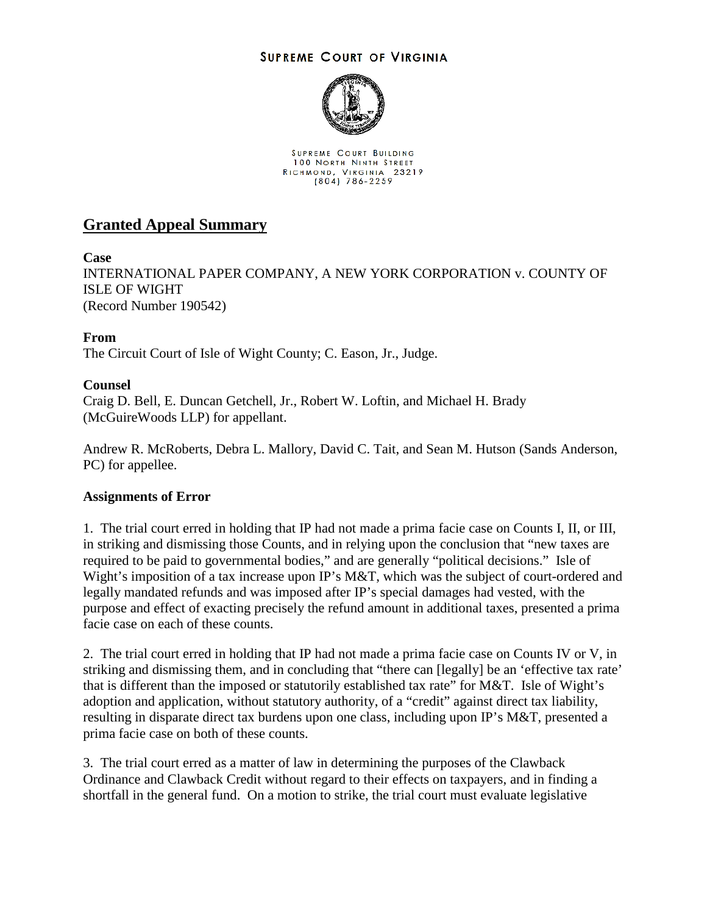## **SUPREME COURT OF VIRGINIA**



SUPREME COURT BUILDING **100 NORTH NINTH STREET** RICHMOND, VIRGINIA 23219<br>(804) 786-2259

# **Granted Appeal Summary**

**Case**

INTERNATIONAL PAPER COMPANY, A NEW YORK CORPORATION v. COUNTY OF ISLE OF WIGHT (Record Number 190542)

# **From**

The Circuit Court of Isle of Wight County; C. Eason, Jr., Judge.

## **Counsel**

Craig D. Bell, E. Duncan Getchell, Jr., Robert W. Loftin, and Michael H. Brady (McGuireWoods LLP) for appellant.

Andrew R. McRoberts, Debra L. Mallory, David C. Tait, and Sean M. Hutson (Sands Anderson, PC) for appellee.

#### **Assignments of Error**

1. The trial court erred in holding that IP had not made a prima facie case on Counts I, II, or III, in striking and dismissing those Counts, and in relying upon the conclusion that "new taxes are required to be paid to governmental bodies," and are generally "political decisions." Isle of Wight's imposition of a tax increase upon IP's M&T, which was the subject of court-ordered and legally mandated refunds and was imposed after IP's special damages had vested, with the purpose and effect of exacting precisely the refund amount in additional taxes, presented a prima facie case on each of these counts.

2. The trial court erred in holding that IP had not made a prima facie case on Counts IV or V, in striking and dismissing them, and in concluding that "there can [legally] be an 'effective tax rate' that is different than the imposed or statutorily established tax rate" for M&T. Isle of Wight's adoption and application, without statutory authority, of a "credit" against direct tax liability, resulting in disparate direct tax burdens upon one class, including upon IP's M&T, presented a prima facie case on both of these counts.

3. The trial court erred as a matter of law in determining the purposes of the Clawback Ordinance and Clawback Credit without regard to their effects on taxpayers, and in finding a shortfall in the general fund. On a motion to strike, the trial court must evaluate legislative